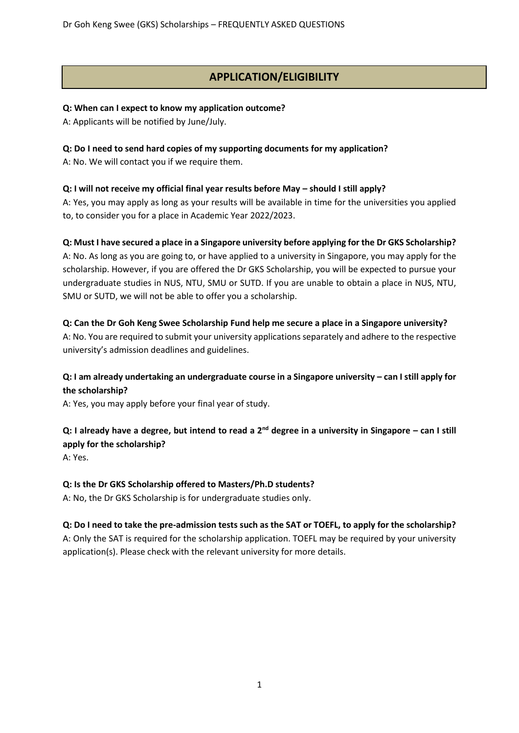# **APPLICATION/ELIGIBILITY**

#### **Q: When can I expect to know my application outcome?**

A: Applicants will be notified by June/July.

#### **Q: Do I need to send hard copies of my supporting documents for my application?**

A: No. We will contact you if we require them.

## **Q: I will not receive my official final year results before May – should I still apply?**

A: Yes, you may apply as long as your results will be available in time for the universities you applied to, to consider you for a place in Academic Year 2022/2023.

#### **Q: Must I have secured a place in a Singapore university before applying for the Dr GKS Scholarship?**

A: No. As long as you are going to, or have applied to a university in Singapore, you may apply for the scholarship. However, if you are offered the Dr GKS Scholarship, you will be expected to pursue your undergraduate studies in NUS, NTU, SMU or SUTD. If you are unable to obtain a place in NUS, NTU, SMU or SUTD, we will not be able to offer you a scholarship.

## **Q: Can the Dr Goh Keng Swee Scholarship Fund help me secure a place in a Singapore university?**

A: No. You are required to submit your university applications separately and adhere to the respective university's admission deadlines and guidelines.

# **Q: I am already undertaking an undergraduate course in a Singapore university – can I still apply for the scholarship?**

A: Yes, you may apply before your final year of study.

# **Q: I already have a degree, but intend to read a 2nd degree in a university in Singapore – can I still apply for the scholarship?**

A: Yes.

## **Q: Is the Dr GKS Scholarship offered to Masters/Ph.D students?**

A: No, the Dr GKS Scholarship is for undergraduate studies only.

## **Q: Do I need to take the pre-admission tests such as the SAT or TOEFL, to apply for the scholarship?**

A: Only the SAT is required for the scholarship application. TOEFL may be required by your university application(s). Please check with the relevant university for more details.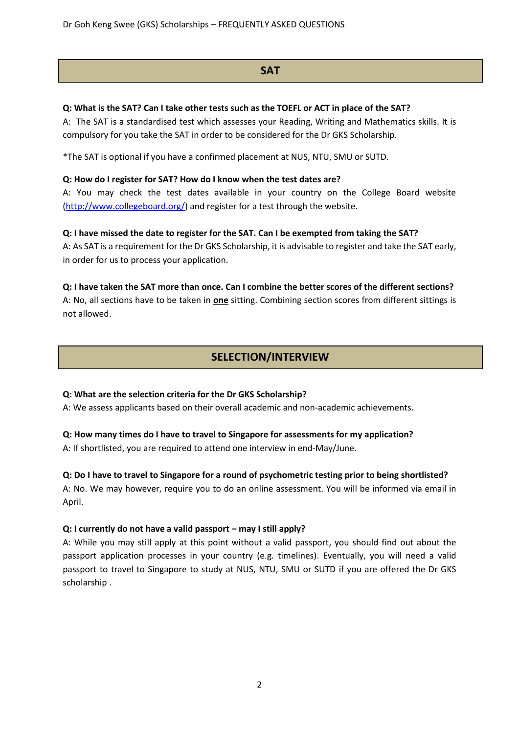Dr Goh Keng Swee (GKS) Scholarships – FREQUENTLY ASKED QUESTIONS

# **SAT**

## **Q: What is the SAT? Can I take other tests such as the TOEFL or ACT in place of the SAT?**

A: The SAT is a standardised test which assesses your Reading, Writing and Mathematics skills. It is compulsory for you take the SAT in order to be considered for the Dr GKS Scholarship.

\*The SAT is optional if you have a confirmed placement at NUS, NTU, SMU or SUTD.

#### **Q: How do I register for SAT? How do I know when the test dates are?**

A: You may check the test dates available in your country on the College Board website [\(http://www.collegeboard.org/\)](http://www.collegeboard.org/) and register for a test through the website.

## **Q: I have missed the date to register for the SAT. Can I be exempted from taking the SAT?**

A: As SAT is a requirement for the Dr GKS Scholarship, it is advisable to register and take the SAT early, in order for us to process your application.

## **Q: I have taken the SAT more than once. Can I combine the better scores of the different sections?**

A: No, all sections have to be taken in **one** sitting. Combining section scores from different sittings is not allowed.

# **SELECTION/INTERVIEW**

## **Q: What are the selection criteria for the Dr GKS Scholarship?**

A: We assess applicants based on their overall academic and non-academic achievements.

# **Q: How many times do I have to travel to Singapore for assessments for my application?**

A: If shortlisted, you are required to attend one interview in end-May/June.

# **Q: Do I have to travel to Singapore for a round of psychometric testing prior to being shortlisted?** A: No. We may however, require you to do an online assessment. You will be informed via email in April.

## **Q: I currently do not have a valid passport – may I still apply?**

A: While you may still apply at this point without a valid passport, you should find out about the passport application processes in your country (e.g. timelines). Eventually, you will need a valid passport to travel to Singapore to study at NUS, NTU, SMU or SUTD if you are offered the Dr GKS scholarship .